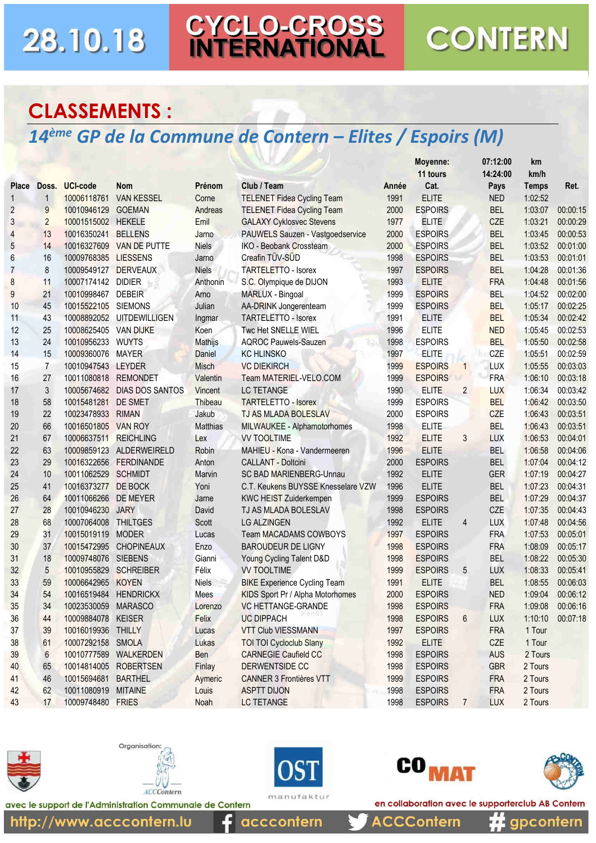## 28.10.18

# CYCLO-CROSS<br>INTERNATIONAL

## **CONTERN**

#### **CLASSEMENTS:**

### 14<sup>ème</sup> GP de la Commune de Contern - Elites / Espoirs (M)

|                |                |                                   |                                 |                 |                                                    |               | <b>INIOTELITIE.</b><br>11 tours |                 | VI.IZ.VV<br>14:24:00     | MIL<br>km/h             |                      |
|----------------|----------------|-----------------------------------|---------------------------------|-----------------|----------------------------------------------------|---------------|---------------------------------|-----------------|--------------------------|-------------------------|----------------------|
|                |                | Place Doss. UCI-code              |                                 | Prénom          | Club / Team                                        |               | Cat.                            |                 |                          |                         |                      |
| 1              | $\mathbf{1}$   | 10006118761                       | <b>Nom</b><br><b>VAN KESSEL</b> | Corne           | <b>TELENET Fidea Cycling Team</b>                  | Année<br>1991 | <b>ELITE</b>                    |                 | Pays<br><b>NED</b>       | <b>Temps</b><br>1:02:52 | Ret.                 |
| $\overline{2}$ | 9              | 10010946129                       | <b>GOEMAN</b>                   | Andreas         | <b>TELENET Fidea Cycling Team</b>                  | 2000          | <b>ESPOIRS</b>                  |                 | <b>BEL</b>               | 1:03:07                 | 00:00:15             |
| 3              | $\overline{2}$ | 10001515002 HEKELE                |                                 | Emil            | <b>GALAXY Cyklosvec Stevens</b>                    | 1977          | <b>ELITE</b>                    |                 | CZE                      | 1:03:21                 | 00:00:29             |
| 4              | 13             | 10016350241                       | <b>BELLENS</b>                  | Jarno           | PAUWELS Sauzen - Vastgoedservice                   | 2000          | <b>ESPOIRS</b>                  |                 | <b>BEL</b>               | 1:03:45                 | 00:00:53             |
| 5              | 14             |                                   | 10016327609 VAN DE PUTTE        | Niels           | <b>IKO - Beobank Crossteam</b>                     | 2000          | <b>ESPOIRS</b>                  |                 | <b>BEL</b>               | 1:03:52                 | 00:01:00             |
| 6              | 16             | 10009768385 LIESSENS              |                                 | Jarno           | Creafin TÜV-SÜD                                    | 1998          | <b>ESPOIRS</b>                  |                 | <b>BEL</b>               | 1:03:53                 | 00:01:01             |
| $\overline{7}$ | 8              | 10009549127 DERVEAUX              |                                 | <b>Niels</b>    | <b>TARTELETTO - Isorex</b>                         | 1997          | <b>ESPOIRS</b>                  |                 | <b>BEL</b>               | 1:04:28                 | 00:01:36             |
| 8              | 11             | 10007174142 DIDIER                |                                 | Anthonin        | S.C. Olympique de DIJON                            | 1993          | <b>ELITE</b>                    |                 | <b>FRA</b>               | 1:04:48                 | 00:01:56             |
| 9              | 21             | 10010998467 DEBEIR                |                                 | Arno            | MARLUX - Bingoal                                   | 1999          | <b>ESPOIRS</b>                  |                 | <b>BEL</b>               | 1:04:52                 | 00:02:00             |
| 10             | 45             | 10015522105 SIEMONS               |                                 | Julian          | AA-DRINK Jongerenteam                              | 1999          | <b>ESPOIRS</b>                  |                 | <b>BEL</b>               | 1:05:17                 | 00:02:25             |
| 11             | 43             |                                   | 10008892052 UITDEWILLIGEN       |                 | <b>TARTELETTO - Isorex</b>                         | 1991          | <b>ELITE</b>                    |                 | <b>BEL</b>               | 1:05:34                 | 00:02:42             |
|                |                |                                   |                                 | Ingmar          |                                                    |               |                                 |                 |                          |                         | 00:02:53             |
| 12             | 25<br>24       | 10008625405 VAN DIJKE             |                                 | Koen            | Two Het SNELLE WIEL<br><b>AQROC Pauwels-Sauzen</b> | 1996          | <b>ELITE</b><br><b>ESPOIRS</b>  |                 | <b>NED</b><br><b>BEL</b> | 1:05:45                 | 00:02:58             |
| 13             |                | 10010956233                       | <b>WUYTS</b>                    | Mathijs         |                                                    | 1998          | <b>ELITE</b>                    |                 | CZE                      | 1:05:50                 | 00:02:59             |
| 14             | 15             | 10009360076<br>10010947543 LEYDER | <b>MAYER</b>                    | Daniel          | <b>KC HLINSKO</b>                                  | 1997          | <b>ESPOIRS</b>                  |                 | LUX                      | 1:05:51                 | 00:03:03             |
| 15             | 7              |                                   |                                 | <b>Misch</b>    | <b>VC DIEKIRCH</b>                                 | 1999          |                                 | $\mathbf{1}$    |                          | 1:05:55                 |                      |
| 16             | 27             | 10011080818                       | <b>REMONDET</b>                 | Valentin        | Team MATERIEL-VELO.COM<br><b>LC TETANGE</b>        | 1999          | <b>ESPOIRS</b>                  |                 | <b>FRA</b>               | 1:06:10<br>1:06:34      | 00:03:18<br>00:03:42 |
| 17             | 3              | 10005674682                       | <b>DIAS DOS SANTOS</b>          | Vincent         | <b>TARTELETTO - Isorex</b>                         | 1990<br>1999  | <b>ELITE</b><br><b>ESPOIRS</b>  | $\overline{2}$  | <b>LUX</b><br><b>BEL</b> | 1:06:42                 | 00:03:50             |
| 18             | 58<br>22       | 10015481281<br>10023478933        | DE SMET                         | Thibeau         |                                                    |               | <b>ESPOIRS</b>                  |                 | CZE                      |                         | 00:03:51             |
| 19             |                |                                   | <b>RIMAN</b>                    | Jakub           | <b>TJ AS MLADA BOLESLAV</b>                        | 2000          |                                 |                 |                          | 1:06:43                 |                      |
| 20             | 66             | 10016501805                       | <b>VAN ROY</b>                  | <b>Matthias</b> | MILWAUKEE - Alphamotorhomes                        | 1998          | <b>ELITE</b>                    |                 | <b>BEL</b>               | 1:06:43                 | 00:03:51             |
| 21             | 67             | 10006637511                       | <b>REICHLING</b>                | Lex             | <b>VV TOOLTIME</b>                                 | 1992          | <b>ELITE</b>                    | 3               | <b>LUX</b>               | 1:06:53                 | 00:04:01             |
| 22             | 63             | 10009859123                       | ALDERWEIRELD                    | Robin           | MAHIEU - Kona - Vandermeeren                       | 1996          | <b>ELITE</b>                    |                 | <b>BEL</b>               | 1:06:58                 | 00:04:06             |
| 23             | 29             |                                   | 10016322656 FERDINANDE          | Anton           | CALLANT - Doltcini                                 | 2000          | <b>ESPOIRS</b>                  |                 | <b>BEL</b>               | 1:07:04                 | 00:04:12             |
| 24             | 10             | 10011062529 SCHMIDT               |                                 | <b>Marvin</b>   | SC BAD MARIENBERG-Unnau                            | 1992          | <b>ELITE</b>                    |                 | <b>GER</b>               | 1:07:19                 | 00:04:27             |
| 25             | 41             | 10016373277                       | DE BOCK                         | Yoni            | C.T. Keukens BUYSSE Knesselare VZW                 | 1996          | <b>ELITE</b>                    |                 | <b>BEL</b>               | 1:07:23                 | 00:04:31             |
| 26             | 64             | 10011066266                       | DE MEYER                        | Jarne           | <b>KWC HEIST Zuiderkempen</b>                      | 1999          | <b>ESPOIRS</b>                  |                 | <b>BEL</b>               | 1:07:29                 | 00:04:37             |
| 27             | 28             | 10010946230                       | <b>JARY</b>                     | David           | TJ AS MLADA BOLESLAV                               | 1998          | <b>ESPOIRS</b>                  |                 | CZE                      | 1:07:35                 | 00:04:43             |
| 28             | 68             | 10007064008                       | <b>THILTGES</b>                 | Scott           | <b>LG ALZINGEN</b>                                 | 1992          | <b>ELITE</b>                    | 4               | LUX                      | 1:07:48                 | 00:04:56             |
| 29             | 31             | 10015019119                       | <b>MODER</b>                    | Lucas           | <b>Team MACADAMS COWBOYS</b>                       | 1997          | <b>ESPOIRS</b>                  |                 | <b>FRA</b>               | 1:07:53                 | 00:05:01             |
| 30             | 37             | 10015472995                       | <b>CHOPINEAUX</b>               | Enzo            | <b>BAROUDEUR DE LIGNY</b>                          | 1998          | <b>ESPOIRS</b>                  |                 | <b>FRA</b>               | 1:08:09                 | 00:05:17             |
| 31             | 18             | 10009748076                       | <b>SIEBENS</b>                  | Gianni          | Young Cycling Talent D&D                           | 1998          | <b>ESPOIRS</b>                  |                 | <b>BEL</b>               | 1:08:22                 | 00:05:30             |
| 32             | 5              | 10010955829                       | <b>SCHREIBER</b>                | Félix           | <b>VV TOOLTIME</b>                                 | 1999          | <b>ESPOIRS</b>                  | $5\phantom{.0}$ | <b>LUX</b>               | 1:08:33                 | 00:05:41             |
| 33             | 59             | 10006642965                       | <b>KOYEN</b>                    | <b>Niels</b>    | <b>BIKE Experience Cycling Team</b>                | 1991          | <b>ELITE</b>                    |                 | <b>BEL</b>               | 1:08:55                 | 00:06:03             |
| 34             | 54             | 10016519484                       | <b>HENDRICKX</b>                | Mees            | KIDS Sport Pr / Alpha Motorhomes                   | 2000          | <b>ESPOIRS</b>                  |                 | <b>NED</b>               | 1:09:04                 | 00:06:12             |
| 35             | 34             | 10023530059                       | <b>MARASCO</b>                  | Lorenzo         | <b>VC HETTANGE-GRANDE</b>                          | 1998          | <b>ESPOIRS</b>                  |                 | <b>FRA</b>               | 1:09:08                 | 00:06:16             |
| 36             | 44             | 10009884078                       | KEISER                          | Felix           | <b>UC DIPPACH</b>                                  | 1998          | <b>ESPOIRS</b>                  | 6               | <b>LUX</b>               | 1:10:10                 | 00:07:18             |
| 37             | 39             | 10016019936 THILLY                |                                 | Lucas           | <b>VTT Club VIESSMANN</b>                          | 1997          | <b>ESPOIRS</b>                  |                 | <b>FRA</b>               | 1 Tour                  |                      |
| 38             | 61             | 10007292158 SMOLA                 |                                 | Lukas           | <b>TOI TOI Cycloclub Slany</b>                     | 1992          | <b>ELITE</b>                    |                 | CZE                      | 1 Tour                  |                      |
| 39             | 6              |                                   | 10010777589 WALKERDEN           | Ben             | <b>CARNEGIE Caufield CC</b>                        | 1998          | <b>ESPOIRS</b>                  |                 | <b>AUS</b>               | 2 Tours                 |                      |
| 40             | 65             | 10014814005                       | <b>ROBERTSEN</b>                | Finlay          | DERWENTSIDE CC                                     | 1998          | <b>ESPOIRS</b>                  |                 | <b>GBR</b>               | 2 Tours                 |                      |
| 41             | 46             | 10015694681                       | <b>BARTHEL</b>                  | Aymeric         | <b>CANNER 3 Frontières VTT</b>                     | 1999          | <b>ESPOIRS</b>                  |                 | <b>FRA</b>               | 2 Tours                 |                      |
| 42             | 62             | 10011080919                       | <b>MITAINE</b>                  | Louis           | <b>ASPTT DIJON</b>                                 | 1998          | <b>ESPOIRS</b>                  |                 | <b>FRA</b>               | 2 Tours                 |                      |
| 43             | 17             | 10009748480 FRIES                 |                                 | Noah            | <b>LC TETANGE</b>                                  | 1998          | <b>ESPOIRS</b>                  | $\overline{I}$  | <b>LUX</b>               | 2 Tours                 |                      |











avec le support de l'Administration Communale de Contern

http://www.acccontern.lu

**ACCContern** acccontern

gpcontern

en collaboration avec le supporterclub AB Contern